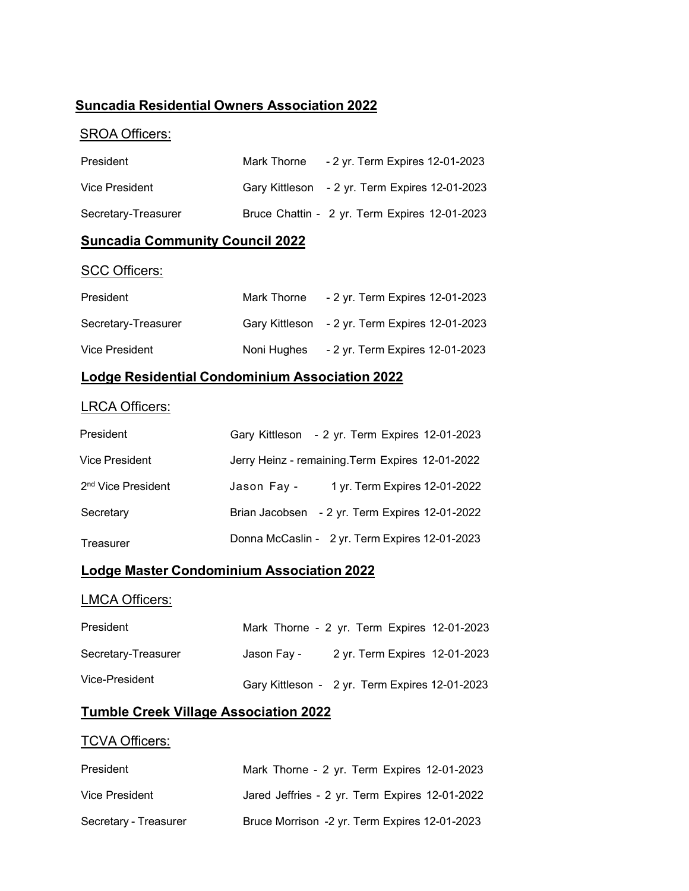### **Suncadia Residential Owners Association 2022**

## SROA Officers:

| President           | Mark Thorne | - 2 yr. Term Expires 12-01-2023                |
|---------------------|-------------|------------------------------------------------|
| Vice President      |             | Gary Kittleson - 2 yr. Term Expires 12-01-2023 |
| Secretary-Treasurer |             | Bruce Chattin - 2 yr. Term Expires 12-01-2023  |

## **Suncadia Community Council 2022**

#### SCC Officers:

| President           | Mark Thorne | - 2 yr. Term Expires 12-01-2023                |
|---------------------|-------------|------------------------------------------------|
| Secretary-Treasurer |             | Gary Kittleson - 2 yr. Term Expires 12-01-2023 |
| Vice President      | Noni Huahes | - 2 yr. Term Expires 12-01-2023                |

## **Lodge Residential Condominium Association 2022**

## LRCA Officers:

| President                      |             | Gary Kittleson - 2 yr. Term Expires 12-01-2023   |
|--------------------------------|-------------|--------------------------------------------------|
| <b>Vice President</b>          |             | Jerry Heinz - remaining. Term Expires 12-01-2022 |
| 2 <sup>nd</sup> Vice President | Jason Fay - | 1 yr. Term Expires 12-01-2022                    |
| Secretary                      |             | Brian Jacobsen - 2 yr. Term Expires 12-01-2022   |
| Treasurer                      |             | Donna McCaslin - 2 yr. Term Expires 12-01-2023   |

### **Lodge Master Condominium Association 2022**

#### LMCA Officers:

| President           | Mark Thorne - 2 yr. Term Expires 12-01-2023    |                               |  |
|---------------------|------------------------------------------------|-------------------------------|--|
| Secretary-Treasurer | Jason Fav -                                    | 2 yr. Term Expires 12-01-2023 |  |
| Vice-President      | Gary Kittleson - 2 yr. Term Expires 12-01-2023 |                               |  |

#### **Tumble Creek Village Association 2022**

#### **TCVA Officers:**

| President             | Mark Thorne - 2 yr. Term Expires 12-01-2023    |
|-----------------------|------------------------------------------------|
| Vice President        | Jared Jeffries - 2 yr. Term Expires 12-01-2022 |
| Secretary - Treasurer | Bruce Morrison -2 yr. Term Expires 12-01-2023  |